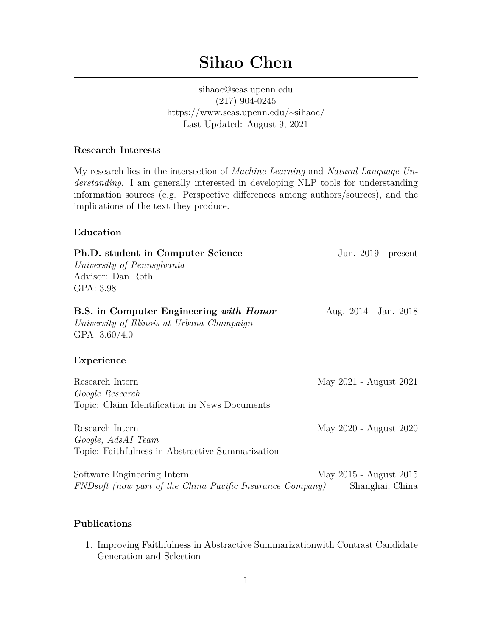# **Sihao Chen**

sihaoc@seas.upenn.edu (217) 904-0245 https://www.seas.upenn.edu/~sihaoc/ Last Updated: August 9, 2021

### **Research Interests**

My research lies in the intersection of *Machine Learning* and *Natural Language Understanding*. I am generally interested in developing NLP tools for understanding information sources (e.g. Perspective differences among authors/sources), and the implications of the text they produce.

#### **Education**

| Ph.D. student in Computer Science<br>University of Pennsylvania<br>Advisor: Dan Roth<br>GPA: 3.98               | Jun. $2019$ - present                     |
|-----------------------------------------------------------------------------------------------------------------|-------------------------------------------|
| <b>B.S.</b> in Computer Engineering with Honor<br>University of Illinois at Urbana Champaign<br>GPA: $3.60/4.0$ | Aug. 2014 - Jan. 2018                     |
| Experience                                                                                                      |                                           |
| Research Intern<br>Google Research<br>Topic: Claim Identification in News Documents                             | May 2021 - August 2021                    |
| Research Intern<br>Google, AdsAI Team<br>Topic: Faithfulness in Abstractive Summarization                       | May 2020 - August 2020                    |
| Software Engineering Intern<br>FNDsoft (now part of the China Pacific Insurance Company)                        | May 2015 - August 2015<br>Shanghai, China |

#### **Publications**

1. Improving Faithfulness in Abstractive Summarizationwith Contrast Candidate Generation and Selection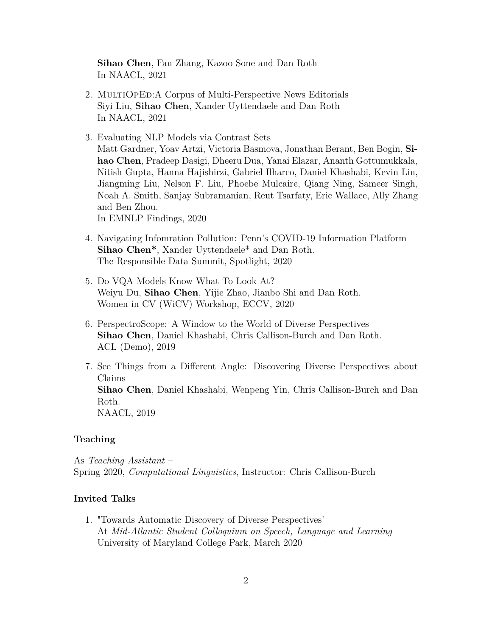**Sihao Chen**, Fan Zhang, Kazoo Sone and Dan Roth In NAACL, 2021

- 2. MULTIOPED: A Corpus of Multi-Perspective News Editorials Siyi Liu, **Sihao Chen**, Xander Uyttendaele and Dan Roth In NAACL, 2021
- 3. Evaluating NLP Models via Contrast Sets Matt Gardner, Yoav Artzi, Victoria Basmova, Jonathan Berant, Ben Bogin, **Sihao Chen**, Pradeep Dasigi, Dheeru Dua, Yanai Elazar, Ananth Gottumukkala, Nitish Gupta, Hanna Hajishirzi, Gabriel Ilharco, Daniel Khashabi, Kevin Lin, Jiangming Liu, Nelson F. Liu, Phoebe Mulcaire, Qiang Ning, Sameer Singh, Noah A. Smith, Sanjay Subramanian, Reut Tsarfaty, Eric Wallace, Ally Zhang and Ben Zhou.

In EMNLP Findings, 2020

- 4. Navigating Infomration Pollution: Penn's COVID-19 Information Platform **Sihao Chen\***, Xander Uyttendaele\* and Dan Roth. The Responsible Data Summit, Spotlight, 2020
- 5. Do VQA Models Know What To Look At? Weiyu Du, **Sihao Chen**, Yijie Zhao, Jianbo Shi and Dan Roth. Women in CV (WiCV) Workshop, ECCV, 2020
- 6. PerspectroScope: A Window to the World of Diverse Perspectives **Sihao Chen**, Daniel Khashabi, Chris Callison-Burch and Dan Roth. ACL (Demo), 2019
- 7. See Things from a Different Angle: Discovering Diverse Perspectives about Claims **Sihao Chen**, Daniel Khashabi, Wenpeng Yin, Chris Callison-Burch and Dan Roth. NAACL, 2019

#### **Teaching**

As *Teaching Assistant* – Spring 2020, *Computational Linguistics*, Instructor: Chris Callison-Burch

## **Invited Talks**

1. "Towards Automatic Discovery of Diverse Perspectives" At *Mid-Atlantic Student Colloquium on Speech, Language and Learning* University of Maryland College Park, March 2020